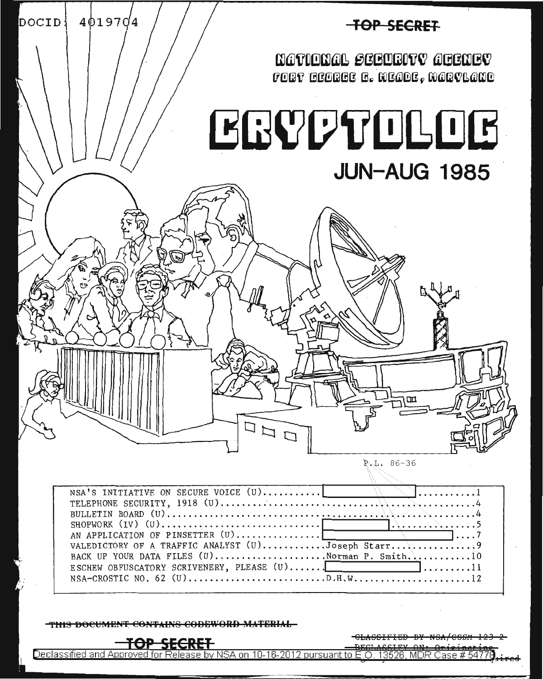

 $P.L. 86-36$ 

NSA'S INITIATIVE ON SECURE VOICE (U).......... TELEPHONE SECURITY, 1918 (U)................  $SHOPWORK$  (IV) (U)............................... AN APPLICATION OF PINSETTER (U)...............| VALEDICTORY OF A TRAFFIC ANALYST (U)...........Joseph Starr............. BACK UP YOUR DATA FILES (U).....................Norman P. Smith...........  $.10$ ESCHEW OBFUSCATORY SCRIVENERY, PLEASE (U)...... 

THIS DOCUMENT CONTAINS CODEWORD MATERIAL



<del>SSIFIED BY NSA/CSSM</del>

Declassified and Approved for Release by NSA on 10-16-2012 pursuant to E.O. 13526, MDR Case # 54778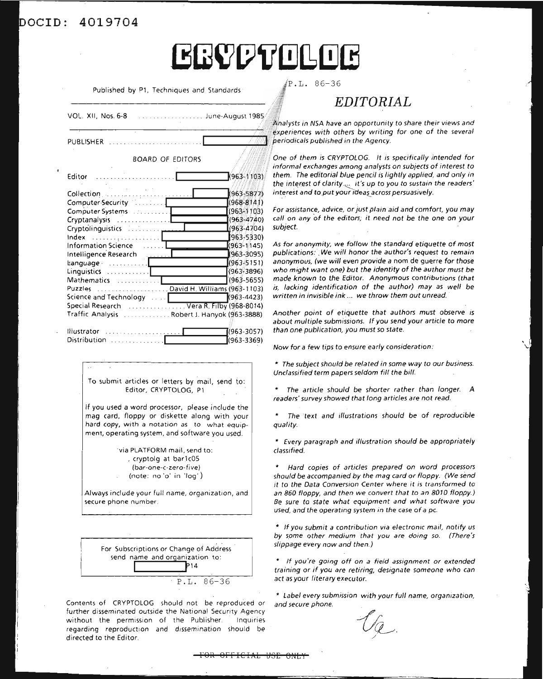#### **4019704**  $\overline{\mathtt{DOCID}}$ :

# **ERVPTOLOB**

Published by Pl, Techniques and Standards

| VOL. XII, Nos. 6-8<br>. June-August 1985                                                                                                                                                                                                                                                                                                                                                    |
|---------------------------------------------------------------------------------------------------------------------------------------------------------------------------------------------------------------------------------------------------------------------------------------------------------------------------------------------------------------------------------------------|
| PUBLISHER                                                                                                                                                                                                                                                                                                                                                                                   |
| <b>BOARD OF EDITORS</b>                                                                                                                                                                                                                                                                                                                                                                     |
| .<br>$(963 - 1103)$<br>Editor                                                                                                                                                                                                                                                                                                                                                               |
| $(963 - 5877)$<br>Collection<br>Computer Security<br>$(968 - 8141)$<br>$(963 - 1103)$<br>Computer Systems [19] Computer Systems<br>$(963 - 4740)$<br>Cryptanalysis<br>$(963 - 4704)$<br>(963-5330)<br>.<br>(963-1145)<br><b>Information Science</b><br>(963-3095)<br>Intelligence Research<br>$(963 - 5151)$<br>$\texttt{Language}$<br>$(963 - 3896)$<br>Linguistics $\ldots \ldots \ldots$ |
| (963-5655)<br>Mathematics<br>Puzzles David H. Williams (963-1103)<br>$(963 - 4423)$<br>Special Research  Vera R. Filby (968-8014)<br>Traffic Analysis Robert J. Hanyok (963-3888)                                                                                                                                                                                                           |
| (1963-3057)<br>Illustrator<br>.<br>(963-3369)<br>Distribution                                                                                                                                                                                                                                                                                                                               |

To submit articles or letters by mail, send to: Editor, CRYPTOLOG, Pl

If you used a word processor, please include the mag card, floppy or diskette along with your hard copy, with a notation as to what equipment, operating system, and software you used.

> 'via PLATFORM mail, send to: , cryptolg at bar 1cOS (bar-one-c-zero-fi ve) (note: no '0' in 'log')

Always include your full name, organization, and secure phone number.



Contents of CRYPTOLOG should not be reproduced or further disseminated outside the National Security Agency without the permission of the Publisher. Inquiries regarding reproduction and dissemination should be directed to the Editor.

 $P.L. 86-36$ 

# *EDITORIAL*

Analysts in NSA have an opportunity to share their views and experiences with others by writing for one of the several periodicals published in the Agency.

One of them is CRYPTOLOG. It is specifically intended for informal exchanges among analysts on subjects of interest to them. The editorial blue pencil is lightly applied, and only in the interest of clarity. $~\psi$  it's up to you to sustain the readers' interest and to put your ideas across persuasively.

For assistance, advice, or just plain aid and comfort, you may call on any of the editors; it need not be the one on your subject.

As for anonymity, we follow the standard etiquette of most publications: We will honor the author's request to remain anonymous, (we will even provide a nom de guerre for those who might want one) but the identity of the author must be made known to the Editor. Anonymous contributions (that is, lacking identification of the author) may as well be written in invisible ink ... we throw them out unread.

Another point of etiquette that authors must observe is about multiple submissions. If you send your article to more than one publication, you must so state.

Now for a few tips to ensure early consideration:

\* The subject should be related in some way to our business. Unclassified term papers seldom fill the bill.

The article should be shorter rather than longer. *A* readers' survey showed that long articles are not read.

\* The text and illustrations should be of reproducible quality.

\* Every paragraph and illustration should be appropriately classified.

Hard copies of articles prepared on word processors should be accompanied by the mag card or floppy. (We send it to the Data Conversion Center where it is transformed to an 860 floppy, and then we convert that to an 8010 floppy.) Be sure to state what equipment and what software you used, and the operating system in the case of a pc.

\* If you submit a contribution via electronic mail, notify us by some other medium that you are doing so. (There's slippage every now and then.)

\* If you're going off on a field assignment or extended training or if you are retiring, designate someone who can act as your literary executor.

\* Label every submission with your full name, organization, and secure phone.

 $U_{\mathcal{Q}}$ . /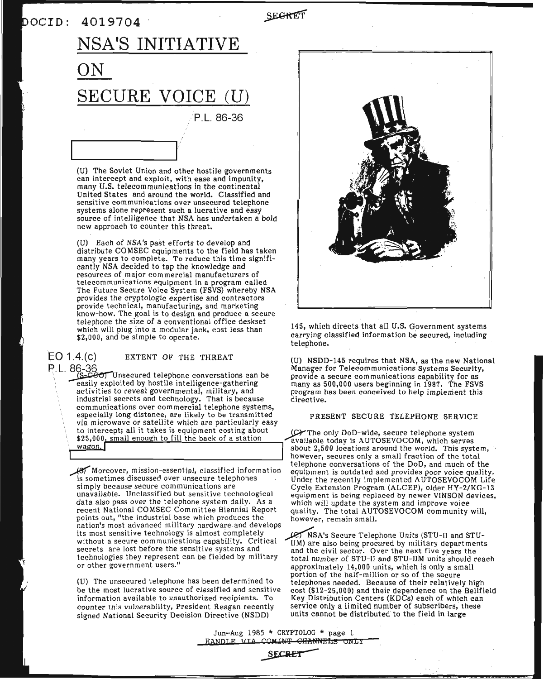### DOCID: 4019704

SECRET

# P.L. 86-36  $\frac{1}{\sqrt{2}}$ **NSA'S INITIATIVE ON SECURE VOICE** (U)

(U) The Soviet Union and other hostile governments can intercept and exploit, with ease and impunity, many U.S. telecommunications in the continental United States and around the world. Classified and sensitive communications over unsecured telephone<br>systems alone represent such a lucrative and easy source of intelligence that NSA has undertaken a bold new approach to counter this threat.

(U) Each of NSA's past efforts to develop and distribute COMSEC equipments to the field has taken many years to complete. To reduce this time significantly NSA decided to tap the knowledge and resources of major commercial manufacturers of telecommunications equipment in a program called The Future Secure Voice System (FSVS) whereby NSA provides the cryptologic expertise and contractors provide technical, manufacturing, and marketing know-how. The goal is to design and produce a secure telephone the size of a conventional office deskset which will plug into a modular jack, cost less than \$2,000, and be simple to operate.

# EO 1.4.(c) EXTENT OF THE THREAT

P.L. 86-36<br>Since 1 . Sector Unsecured telephone conversations can be easily exploited by hostile intelligence-gathering activities to reveal governmental, military, and activities to reveal governmental, military, and<br>industrial secrets and technology. That is because communications over commercial telephone systems, especially long distance, are likely to be transmitted via microwave or satellite which are particularly easy to intercept; all it takes is equipment costing about \$25,000, small enough to fill the back of a station wagon.

> data also pass over the telephone system daily. As a which will update the system and improve voice<br>recent National COMSEC Committee Biennial Report anality. The total AUTOSEVOCOM community points out, "the industrial base which produces the however, remain small. nation's most advanced military hardware and develops its most sensitive technology is almost completely.  $\frac{1}{2}$  NSA's Secure Telephone Units (STU-II and STU-<br>without a secure communications capability. Critical  $\frac{1}{2}$  IIM) are also being proqueed by military departmen without a secure communications capability. Critical  $\tilde{I}$ IM) are also being procured by military departments secrets are lost before the sensitive systems and and the civil sector. Over the next five years the secrets are lost before the sensitive systems and and the civil sector. Over the next five years the technologies they represent can be fielded by military total number of STU-II and STU-IIM units should r

(U) The unsecured telephone has been determined to be the most lucrative source of classified and sensitive information available to unauthorized recipients. To counter this vulnerability, President Reagan recently signed National Security Decision Directive (NSDD)



145, which directs that all U.S. Government systems carrying classified information be secured, including telephone.

(U) NSDD-145 requires that NSA, as the new National Manager for Telecommunications Systems Security, provide <sup>a</sup> secure communications capability for as many as 500,000 users beginning in 1987. The FSVS program has been conceived to help implement this directive.

#### PRESENT SECURE TELEPHONE SERVICE

~The only DoD-wide, secure telephone system available today is AUTOSEVOCOM, which serves<br>about 2,500 locations around the world. This system,<br>however, secures only a small fraction of the total<br>telephone conversations of the DoD, and much of the about 2,500 locations around the world. This system, about 2,500 locations around the world. This system,<br>however, secures only a small fraction of the total<br>is sometimes discussed over unsecure telephones<br>is sometimes discussed over unsecure telephones<br>is the DoD, and much simply because secure communications are Cycle Extension Program (ALCEP), older HY-2/KG-13<br>unavailable. Unclassified but sensitive technological equipment is being replaced by newer VINSON devices. equipment is being replaced by newer VINSON devices, quality. The total AUTOSEVOCOM community will,

technologies they represent can be fielded by military total number of STU-II and STU-IIM units should reach<br>or other government users."<br>approximately 14.000 units, which is only a small approximately 14,000 units, which is only a small portion of the half-million or so of the secure telephones needed. Because of their relatively high cost (\$12-25,000) and their dependence on the Bellfield Key Distribution Centers (KDCs) each of which can service only a limited number of subscribers, these units cannot be distributed to the field in large

> Jun-Aug <sup>1985</sup> \* CRYPTOLOG \* page <sup>1</sup> HANDLE VIA COMINT CHANNELS ONLY

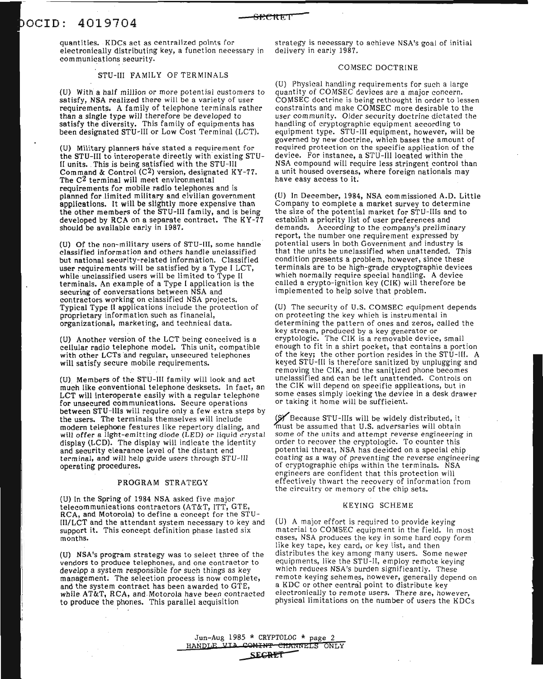## **4019704** aCID:

quantities. KDCs act as centralized points for electronically distributing key, a function necessary in communications security.

#### STU-III FAMILY OF TERMINALS

(U) With a half million or more potential customers to satisfy, NSA realized there will be a variety of user requirements. A family of telephone terminals rather than a single type will therefore be developed to satisfy the diversity. This family of equipments has been designated STU-III or Low Cost Terminal (LCT).

(U) Military planners have stated a requirement for the STU-III to interoperate directly with existing STU-II units. This is being satisfied with the STU-III Command & Control  $(C<sup>2</sup>)$  version, designated KY-77. The C2 terminal will meet environmental requirements for mobile radio telephones and is planned for limited military and civilian government applications. It will be slightly more expensive than the other members of the STU-III family, and is being developed by RCA on a separate contract. The  $KY-77$ should be available early in 1987.

(U) Of the non-military users of STU-III, some handle classified information and others handle unclassified but national security-related information. Classified user requirements will be satisfied by a Type I LCT, while unclassified users will be limited to Type II terminals. An example of a Type I application is the securing of conversations between NSA and contractors working on classified NSA projects. Typical Type II applications include the protection of proprietary information such as financial, organizational, marketing, and technical data.

(U) Another version of the LCT being conceived is <sup>a</sup> cellular radio telephone model. This unit, compatible with other LCTs and regular, unsecured telephones will satisfy secure mobile requirements.

(U) Members of the STU-III family will look and act much like conventional telephonedesksets. In fact, an LCT will interoperate easily with <sup>a</sup> regular telephone for unsecured communications. Secure operations between STU-Ills will require only a few extra steps by the users. The terminals themselves will include modern telephone features like repertory dialing, and will offer a light-emitting diode (LED) or liquid crystal display (LCD). The display will indicate the identity and security clearance level of the distant end terminal, and will help guide users through STU-III operating procedures.

#### PROGRAM STRATEGY

(U) In the Spring of 1984 NSA asked five major telecommunications contractors (AT&T, ITT, GTE, RCA, and Motorola) to define a concept for the STU-III/LCT and the attendant system necessary to key and support it. This concept definition phase lasted six months.

(U) NSA's program strategy was to select three of the vendors to produce telephones, and one contractor to develpp a system responsible for such things as key management. The selection process is now complete, and the system contract has been awarded to GTE, while AT&T, RCA, and Motorola have been contracted to produce the phones. This parallel acquisition

strategy is necessary to achieve NSA's goal of initial delivery in early 1987.

**SfCeltE ['**

#### COMSEC DOCTRINE

(U) Physical handling requirements for such a large quantity of COMSEC devices are a major concern.<br>COMSEC doctrine is being rethought in order to lessen<br>constraints and make COMSEC more desirable to the user community. Older security doctrine dictated the handling of cryptographic equipment according to equipment type. STU-III equipment, however, will be governed by new doctrine, which bases the amount of required protection on the specific application of the device. For instance, a STU-III located within the<br>NSA compound will require less stringent control than a unit housed overseas, where foreign nationals may have easy access to it.

(U) In December, 1984, NSA commissioned A.D. Little Company to complete a market survey to determine the size of the potential market for STU-Ills and to establish a priority list of user preferences and demands. According to the company's preliminary report, the number one requirement expressed by potential users in both Government and industry is that the units be unclassified when unattended. This condition presents a problem, however, since these terminals are to be high-grade cryptographic devices which normally require special handling. A device called a crypto-ignition key (CIK) will therefore be implemented to help solve that problem.

(U) The security of U.S. COMSEC equipment depends on protecting the key which is instrumental in determining the pattern of ones and zeros, called the key stream, produced by <sup>a</sup> key generator or cryptologic. The CIK is <sup>a</sup> removable device, small enough to fit in a shirt pocket, that contains a portion of the key; the other portion resides in the STU-1II. A keyed STU-III is therefore sanitized by unplugging and removing the CIK, and the sanitized phone becomes unclassified and can be left unattended. Controls on the CIK will depend on specific applications, but in some cases simply locking the device in <sup>a</sup> desk drawer or taking it home will be sufficient.

¥ Because STU-Ills will be widely distributed, it must be assumed that U.S. adversaries will obtain some of the units and attempt reverse engineering in some of the units and attempt reverse engineering in<br>order to recover the cryptologic. To counter this potential threat, NSA has decided on a special chip coating as a way of preventing the reverse engineering of cryptographic chips within the terminals. NSA engineers are confident that this protection will effectively thwart the recovery of information from the circuitry or memory of the chip sets.

#### KEYING SCHEME

(U) A major effort is required to provide keying material to COMSEC equipment in the field. In most cases, NSA produces the key in some hard copy form like key tape, key card, or key list, and then distributes the key among many users. Some newer equipments, like the STU-II, employ remote keying which reduces NSA's burden significantly. These remote keying schemes, however, generally depend on a KDC or other central point to distribute key electronically to remote users. There are, however, physical limitations on the number of users the KDCs

Jun-Aug 1985 \* CRYPTOLOG \* page 2<br>HANDLE VIA COMINT CHANNELS ON HANDLE VIA COMINT CHANNELS ONLY

**SH;RET -**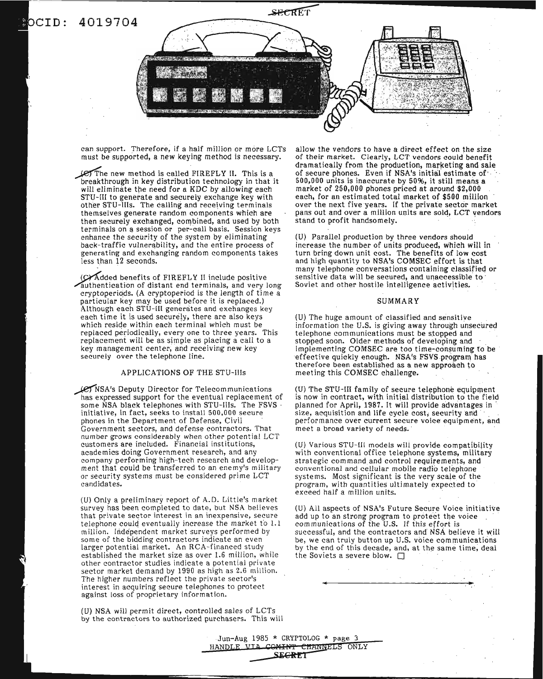## **4019704 ero:**



**A WATERS ARMOURIES** 

can support. Therefore, if a half million or more LCTs must be supported, a new keying method is necessary.

~enew method is calledFIREFLY II. This is <sup>a</sup> breakthrough in key distribution technology in that it will eliminate the need for a KDC by allowing each STU-III to generate and securely exchange key with other STU-Ills. The calling and receiving terminals themselves generate random components which are then securely exchanged, combined, and used by both terminals on a session or per-call basis. Session keys enhance the security of the system by eliminating back-traffic vulnerability, and the entire process of generating and exchanging random components takes less than 12 seconds.

(C) Added benefits of FIREFLY II include positive authentication of distant end terminals, and very long cryptoperiods. (A cryptoperiod is the length of time a particular key may be used before it is replaced.) Although each STU-III generates and exchanges key each time it is used securely, there are also keys which reside within each terminal which must be replaced periodically, every one to three years. This replacement will be as simple as placing <sup>a</sup> call to <sup>a</sup> key management center; and receiving new key securely over the telephone line.

#### APPLICATIONS OF THE STU-Ills

~NSA'S Deputy Director for Telecommunications has expressed support for the eventual replacement of some NSA black telephones with STU-lIIs. The FSVS ' initiative, in fact, seeks to install 500,000 secure phones in the Department of Defense, Civil Government sectors, and defense contractors. That number grows considerably when other potential LCT customers are included. Financial institutions, academics doing Government research, and any company performing high-tech research and development that could be transferred to an enemy's military or security systems must be considered prime LCT candidates.

(U) Only a preliminary report of A.D. Little's market survey has been completed to date, but NSA believes that private sector interest in an inexpensive, secure telephone could eventually increase the market to 1.1 million. Independent market surveys performed by some of the bidding contractors indicate an even larger potential market. An RCA-financed study established the market size as over 1.6 million, while other contractor studies indicate a potential private sector market demand by 1990 as high as 2.6 million. The higher numbers reflect the private sector's interest in acquiring secure telephones to protect against loss of proprietary information.

(U) NSA will permit direct, controlled sales of LCTs by the contractors to authorized purchasers. This will allow the vendors to have a direct effect on the size of their market. Clearly, LCT vendors could benefit dramatically from the production, marketing and sale of secure phones. Even if NSA's initial estimate of 500,000 units is inaccurate by 50%, it still means a market of 250,000 phones priced at around \$2,000 over the next five years. If the private sector market pans out and over a million units are sold, LCT vendors stand to profit handsomely.

(U) Parallel production by three vendors should increase the number of units produced, which will in turn bring down unit cost. The benefits of low cost and high quantity to NSA's COMSEC effort is that many telephone conversations containing classified or sensitive data will be secured, and unaccessible to' Soviet and other hostile intelligence activities.

#### SUMMARY

(U) The huge amount of classified and sensitive information the U.S. is giving away through unsecured telephone communications must be stopped and<br>stopped soon. Older methods of developing and implementing COMSEC are too time-consuming to be effective quickly enough. NSA's FSVS program has therefore been established as a new approach to meeting this COMSEC challenge.

(U) The STU-III family of secure telephone equipment is now in contract, with initial distribution to the field planned for April, 1987. It will provide advantages in . size, acquisition and life cycle cost, security and , . . . . . . performance over current secure voice equipment, and meet a broad variety of needs. '

(U) Various STU-Ill models will provide compatibility with conventional office telephone systems, military strategic command and control requirements, and conventional and cellular mobile radio telephone systems. Most significant is the very scale of the program, with quantities ultimately expected to exceed half a million units.

(U) All aspects of NSA's Future Secure Voice initiative add up to an strong program to protect tne voice communications of the U.S. If this effort is successful, and the contractors and NsA believe it will be, we can truly button up U.S. voice communications by the end of this decade, and, at the same time, deal the Soviets a severe blow.  $\Box$ 

. **-: .**

Jun-Aug 1985 \* CRYPTOLOG \* page 3 HANDLE VIA COMINT CHANNELS ONLY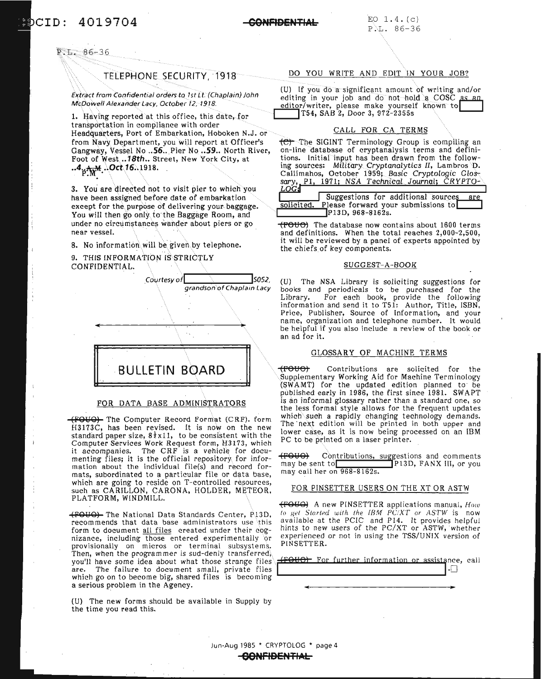ero: 4019704

#### **GONFl9ENTIAL**

 $E.E. 86-36$ 

#### TELEPHONE SECURITY, 1918

Extract from Confidential orders to 1st Lt. (Chaplain) John McDowell Alexander Lacy, October 12; 1918.

1. Having reported at this office, this date. for transportation in compliance with order Headquarters, Port of Embarkation, Hoboken N.J. or from Navy Department, you will report at Officer's Gangway, Vessel No ..56.. Pier No ..59.. North River, Foot of West .. 18th.. Street, New York City, at  $.4_{p}A_{w}M$ . Oct 16. 1918.

3. You are directed not to visit pier to which you have been assigned before date of embarkation except for the purpose of delivering your baggage. You will then go only to the Baggage Room, and under no circumstances wander about piers or go near vessel.

8. No information will be given by telephone.

9. THIS INFORMATION IS STRICTLY CONFIDENTIAL.



#### FOR DATA BASE ADMINISTRATORS

(fOIJO) The Computer Record Format (CRF). form H3173C, has been revised. It is now on the new standard paper size,  $8\frac{1}{2}$ x11, to be consistent with the Computer Services Work Request form, H3173, which it accompanies. The CRF is a vehicle for documenting files; it is the official repository for information about the individual file(s) and record formats, subordinated to a particular file or data base, which are going to reside on T-controlled resources, such as CARILLON, CARONA, HOLDER, METEOR, PLATFORM, WINDMILL.

(FOYO) The National Data Standards Center, PJ3D, recommends that data base administrators use this form to document all files created under their cognizance, including those entered experimentally or provisionally on micros or terminal subsystems. Then, when the programmer is sud-denly transferred, you'll have some idea about what those strange files .1 (YOUP) For further information or assistance<br>are. The failure to document small, private files are. The failure to document small, private files which go on to become big, shared files is becoming a serious problem in the Agency.

(U) The new forms should be available in Supply by the time you read this.

#### DO YOU WRITE AND EDIT IN YOUR JOB?

(U) If you do a significant amount of writing and/or editing in your job and do not hold a COSC as an editor/writer, please make yourself known to T54, SAB 2, Door 3, 972-2355s

#### CALL FOR CA TERMS

 $\overline{CD}$  The SIGINT Terminology Group is compiling an on-line database of cryptanalysis terms and definitions. Initial input has been drawn from the following sources: Military Cryptanalytics II, Lambros D. Callimahos, October 1959; Basic Cryptologic Glossary, <u>P1, 1971; NSA Technical Journal; CRYPTO-</u> *LOG*

|            | Suggestions for additional sources | are |
|------------|------------------------------------|-----|
| solicited. | Please forward your submissions to |     |
|            | P <sub>13</sub> D, 968-8162s.      |     |

(FOUC) The database now contains about 1600 terms and definitions. When the total reaches 2,000-2,500, it will be reviewed by a panel of experts appointed by the chiefs of key components.

#### SUGGEST-A-BOOK

(U) The NSA Library is soliciting suggestions for books and periodicals to be purchased for the Library. For each book, provide the following information and send it to T51: Author, Title, ISBN, Price, Publisher, Source of Information, and your name, organization and telephone number. It would be helpful if you also include <sup>a</sup> review of the book or an ad for it.

#### GLOSSARY OF MACHINE TERMS

(FOUO) Contributions are solicited for the Supplementary Working Aid for Machine Terminology (SWAMT) for the updated edition planned to be published early in 1986, the first since 1981. SWAPT is an informal glossary rather than a standard one, so the less formal style allows for the frequent updates which such a rapidly changing technology demands. The' next edition will be printed in both upper and lower case, as it is now being processed on an IBM PC to be printed on a laser printer.

(FOUO) Contributions, suggestions and comments<br>may be sent to **F**P13D, FANX III, or you P13D, FANX III, or you may call her on 968-8162s.

#### FOR PINSETTER USERS ON THE XT OR ASTW

(FOIJO) A new PINSETTER applications manual, *How tll get Started with the fBM* PCiXT *or ASTW* is now available at the PCIC and P14. It provides helpful hints to new users of the PC/XT or ASTW, whether experienced or not in using the TSS/UNIX version of PINSETTER.

|  | (FOUO) For further information or assistance, call |  |  |
|--|----------------------------------------------------|--|--|
|  |                                                    |  |  |

Jun-Aug 1985 • CRYPTOLOG • page 4

.**GONFIBENTIAL**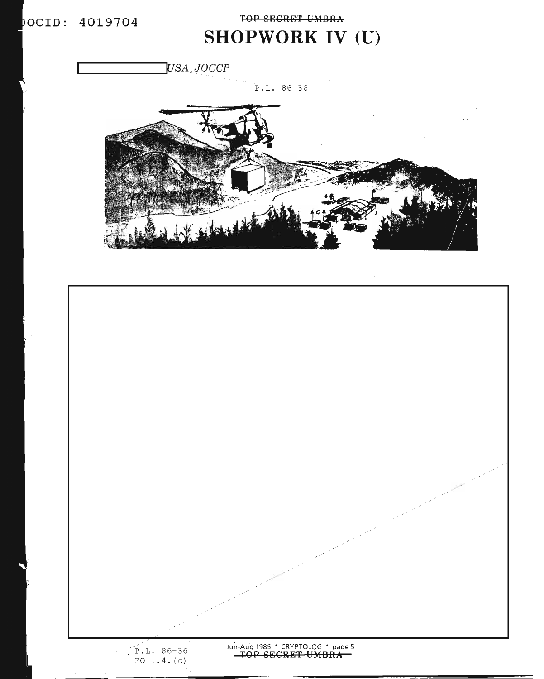**TOP SECRET UMBRA** 

# **SHOPWORK IV (U)**

USA, JOCCP

P.L. 86-36



n-Aug 1985 \* CRYPTOLOG \* page 5  $\overline{YOP}$  **SECRET** UMBRA ./ P.L. 86-36  $EO \cdot 1.4 \cdot (c)$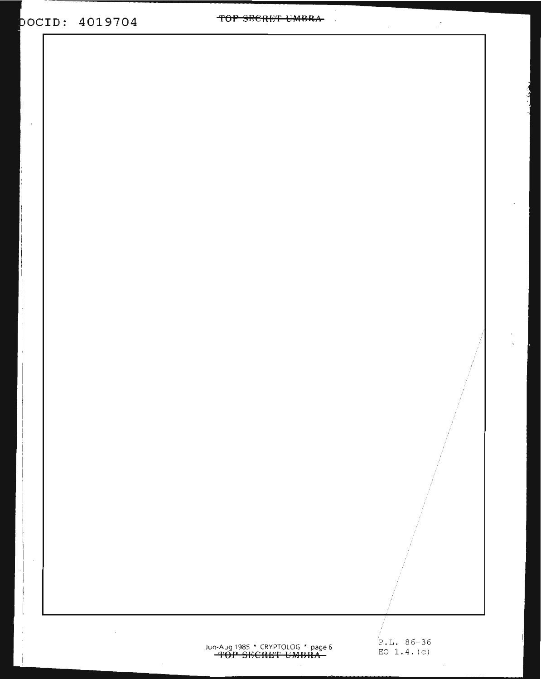$\bar{z}$ 

TOP SECRET UMBRA

# Jun-Aug 1985 \* CRYPTOLOG \* page 6  $P.L. 86-36$ <br> **TOP SECRET UMBRA**

P.L. 86-36

 $\mathbb{R}^2$ 

 $\ddot{\phantom{a}}$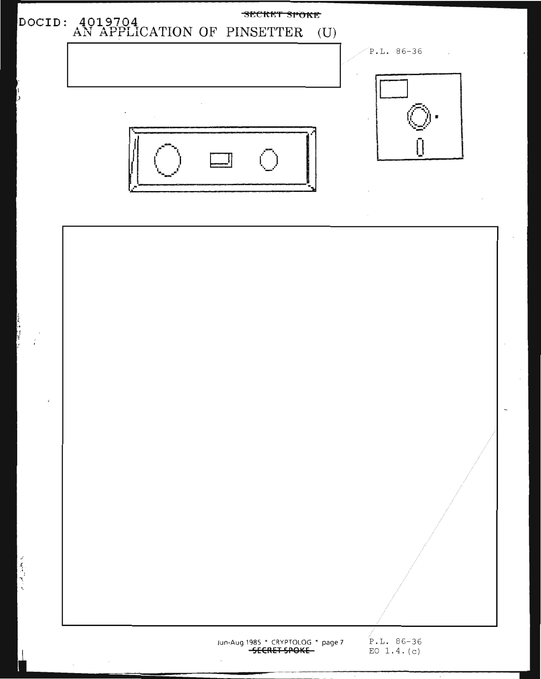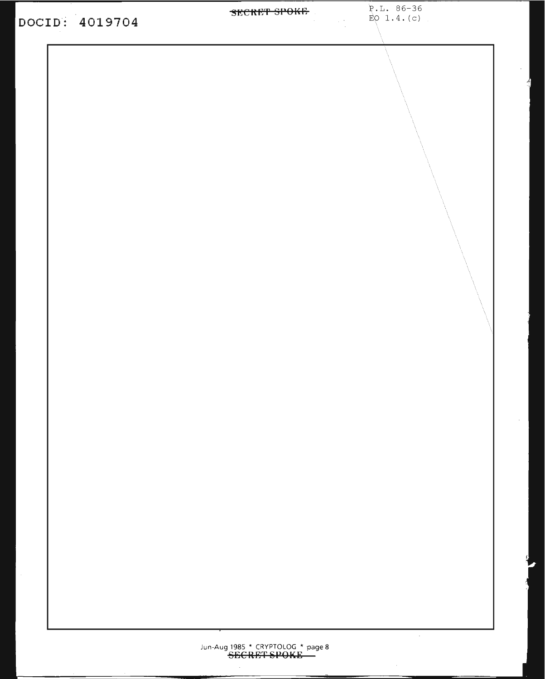| DOCID: 4019704 | <b>SECRET SPOKE</b> $E = 0.4 \cdot (c)$ |  |
|----------------|-----------------------------------------|--|
|                |                                         |  |
|                |                                         |  |
|                |                                         |  |
|                |                                         |  |
|                |                                         |  |
|                |                                         |  |
|                |                                         |  |
|                |                                         |  |
|                |                                         |  |
|                |                                         |  |
|                |                                         |  |
|                |                                         |  |
|                |                                         |  |
|                |                                         |  |
|                |                                         |  |
|                |                                         |  |
|                |                                         |  |
|                |                                         |  |
|                |                                         |  |
|                |                                         |  |
|                |                                         |  |
|                |                                         |  |
|                |                                         |  |
|                |                                         |  |
|                |                                         |  |
|                |                                         |  |
|                |                                         |  |
|                |                                         |  |
|                |                                         |  |
|                |                                         |  |
|                |                                         |  |
|                |                                         |  |
|                |                                         |  |

P.L. 86-36

 $\hat{\mathcal{L}}$ 

 $^\circ$  $\overline{\mathcal{L}}$ 

 $\mathcal{L}$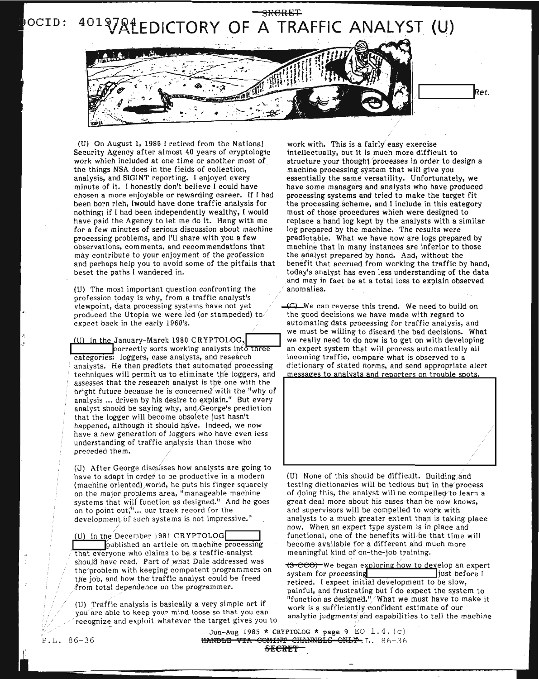

(U) On August 1, 1985 I retired from the National Security Agency after almost 40 years of cryptologic work which included at one time or another most of the things NSA does in the fields of collection, analysis, and SIGINT reporting. I enjoyed every minute of it. I honestly don't believe I could have chosen a more enjoyable or rewarding career. If I had been born rich, IwouId have done traffic analysis for nothing; if I had been independently wealthy, I would have paid the Agency to let me do it. Hang with me for a few minutes of serious discussion about machine processing problems, and I'll share with you a few observations, comments, and recommendations that may contribute to your enjoyment of the profession and perhaps help you to avoid some of the pitfalls that beset the paths I wandered in.

(U) The most important question confronting the profession today is why, from a traffic analyst's viewpoint, data processing systems have not yet produced the Utopia we were led (or stampeded) to expect back in the early 1960's.

1m In the January-March <sup>1980</sup> CRYPTOLOG,r-I <sup>I</sup> ~orrectly sorts working analysts il1t~ categorIes: loggers, case analysts, and reSearch analysts. He then predicts that automated processing techniques will permit us to eliminate the loggers, and assesses that the research analyst is the one with the bright future because he is concerned with the "why of analysis ... driven by his desire to explain." But every analyst should be saying why, and,George's prediction that the logger will become obsolete just hasn't happened, although it should have. Indeed, we now have a new generation of loggers who have even less understanding of traffic analysis than those who preceded them.

(U) After George discusses how analysts are going to have to adapt in order to be productive in a modern (machine oriented) world, he puts his finger squarely on the major problems area, "manageable machine systems that will function as designed." And he goes on to point out;"... our track record for the development/of such systems is not impressive."

(U) In the December 1981 CRYPTOLOG**I I** published an article on machine processing that everyone who claims to be a traffic analyst should have read. Part of what Dale addressed was the problem with keeping competent programmers on the job, and how the traffic analyst could be freed from total dependence on the programmer.

(U) Traffic analysis is basically a very simple art if you are able to keep your mind loose so that you can recognize and exploit whatever the target gives you to

work with. This is a fairly easy exercise intellectually, but it is much more difficult to structure your thought processes in order to design a machine processing system that will give you essentially the same versatility. Unfortunately, we have some managers and analysts who have produced processing systems and tried to make the target fit the processing scheme, and I include in this category most of those procedures which were designed to replace a hand log kept by the analysts with a similar log prepared by the machine. The results were predictable. What we have now are logs prepared by machine that in many instances are inferior to those the analyst prepared by hand. And, without the benefit that accrued from working the traffic by hand, today's analyst has even less understanding of the data and may in fact be at a total loss to explain observed anomalies.

~We can reverse this trend. We need to build on the good decisions we have made with regard to automating data processing for traffic analysis, and we must be willing to discard the bad decisions. What we really need to do now is to get on with developing an expert system that will process automatically all incoming traffic, compare what is observed to a dictionary of stated norms, and send appropriate alert messages to analysts and reporters on trouble spots.



(U) None of this should be difficult. Building and testing dictionaries will be tedious but in the process of doing this, the analyst will be compelled to learn a great deal more about his cases than he now knows, and supervisors will be compelled to work with analysts to a much greater extent than is taking place now. When an expert type system is/in place and functional, one of the benefits will be that time will become available for a different and much more meaningful kind of on-the-job training.

(3 ecco) We began exploring how to develop an expert<br>system for processing<br>just before I system for processing retired. I expect initial development to be slow. painful, and frustrating but  $\Gamma$  do expect the system to "function as designed."/What we must have to make it work is a sufficiently confident estimate of our analytic judgments and capabilities to tell the machine

Jun-Aug 1985 \* CRYPTOLOG \* page 9 EO  $1.4. (c)$ HANDLE VIA COMINT CHANNELS ONLY. L. 86-36 SECRET-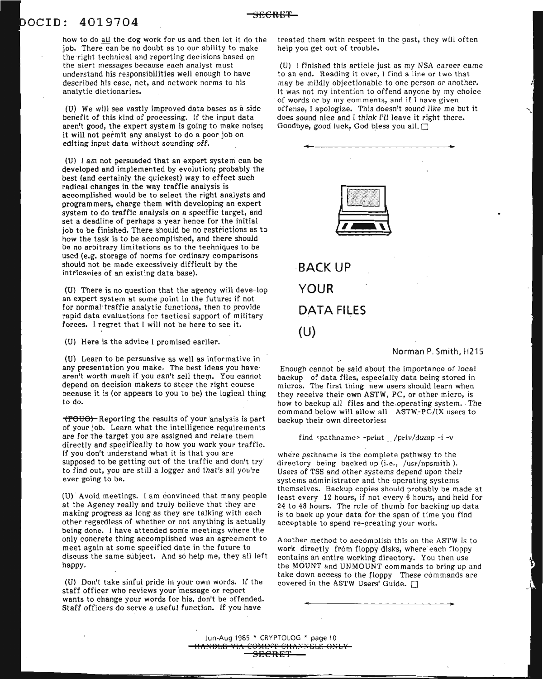### aCID: 4019704

how to do all the dog work for us and then let it do the job. There can be no doubt as to our ability to make the right technical and reporting decisions based on the alert messages because each analyst must understand his responsibilities well enough to have described his case, net, and network norms to his analytic dictionaries.

(U) We will see vastly improved data bases as a side benefit of this kind of processing. If the input data aren't good, the expert system is going to make noise; it will not permit any analyst to do a poor job on editing input data without sounding off.

(U) I am not persuaded that an expert system can be developed and implemented by evolution; probably the best (and certainly the quickest) way to effect such radical changes in the way traffic analysis is accomplished would be to select the right analysts and programmers, charge them with developing an expert system to do traffic analysis on a specific target, and set a deadline of perhaps a year hence for the initial job to be finished. There should be no restrictions as to how the task is to be accomplished, and there should be no arbitrary limitations as to the techniques to be used (e.g. storage of norms for ordinary comparisons should not be made excessively difficult by the intricacies of an existing data base).

(U) There is no question that the agency will deve-Iop an expert system at some point in the future; if not for normal traffic analytic functions, then to provide rapid data evaluations for tactical support of military forces. I regret that I will not be here to see it.

(U) Here is the advice I promised earlier.

(U) Learn to be persuasive as well as informative in any presentation you make. The best ideas you have aren't worth much if you can't sell them. You cannot depend on decision makers to steer the right course because it is (or appears to you to be) the logical thing to do.

(FOUO) Reporting the results of your analysis is part of your job. Learn what the intelligence requirements are for the target you are assigned and relate them directly and specifically to how you work your traffic. If you don't understand what it is that you are supposed to be getting out of the traffic and don't try' to find out, you are still a logger and that's all you're ever going to be.

(U) Avoid meetings. I am convinced that many people at the Agency really and truly believe that they are making progress as long as they are talking with each other regardless of whether or not anything is actually being done, I have attended some meetings where the only concrete thing accomplished was an agreement to meet again at some specified date in the future to discuss the same subject. And so help me, they all left happy.

(U) Don't take sinful pride in your own words. If the staff officer who reviews your 'message or report wants to change your words for his, don't be offended. Staff officers do serve a useful function. If you have

treated them with respect in the past, they will often help you get out of trouble.

(U) I finished this article just as my NSA career came to an end. Reading it over, 1 find a line or two that may be mildly objectionable to one person or another. It was not my intention to offend anyone by my choice of words or by my comments, and if I have given offense, I apologize. This doesn't sound like me but it does sound nice and I think I'll leave it right there. Goodbye, good luck, God bless you all. [7]



**YOUR DATA FILES (U)**

Norman P. Smith, H215

Enough cannot be said about the importance of local backup of data files, especially data being stored in micros. The first thing new users should learn when they receive their own ASTW, PC, or other micro, is how to backup all files and the operating system. The command below will allow all ASTW-PC/lX users to backup their own directories:

find <pathname> -print /priv/dump -i -v

where pathname is the complete pathway to the directory being backed up (i.e., /usr/npsmith). Users of TSS and other systems depend upon their systems administrator and the operating systems themselves. Backup copies should probably be made at least every 12 hours, if not every 6 hours, and held for 24 to 48 hours. The rule of thumb for backing up data is to back up your data for the span of time you find acceptable to spend re-creating your work.

Another method to accomplish this on the ASTW is to work directly from floppy disks, where each floppy contains an entire working directory. You then use the MOUNT and UNMOUNT commands to bring up and take down access to the floppy These commands are covered in the ASTW Users' Guide.  $\Box$ 

 ${\rm s}$ e ${\rm c}$ ret

Jun-Aug 1985 \* CRYPTOLOG \* page 10 HAPiBLr~ **YIlt** CO}ilI?~T **CIIArNEbS Q?JbY** <del>SECRET\_</del>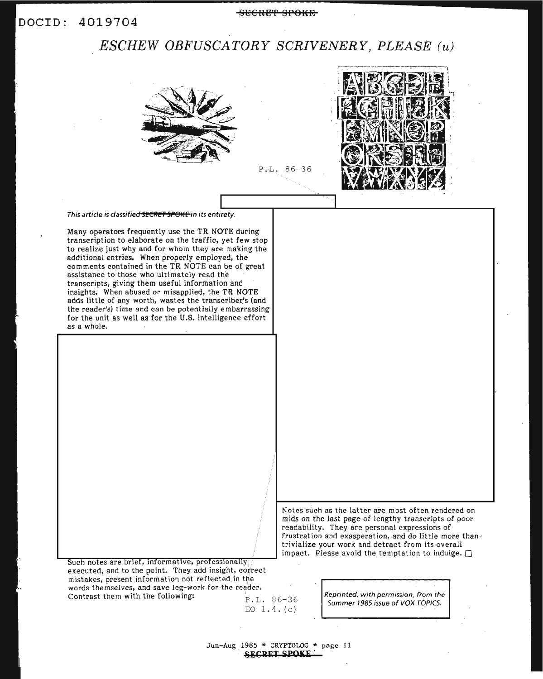#### DOCID: 4019704

#### SECRET SPOKE

### *ESCHEW OBFUSCATORY SCRIVENERY, PLEASE* (u)



Contrast them with the following:  $P_{P.L.} 86-36$ 

EO  $1.4. (c)$ 

Reprinted, with permission, from the Summer 1985 issue of VOX TOPICS.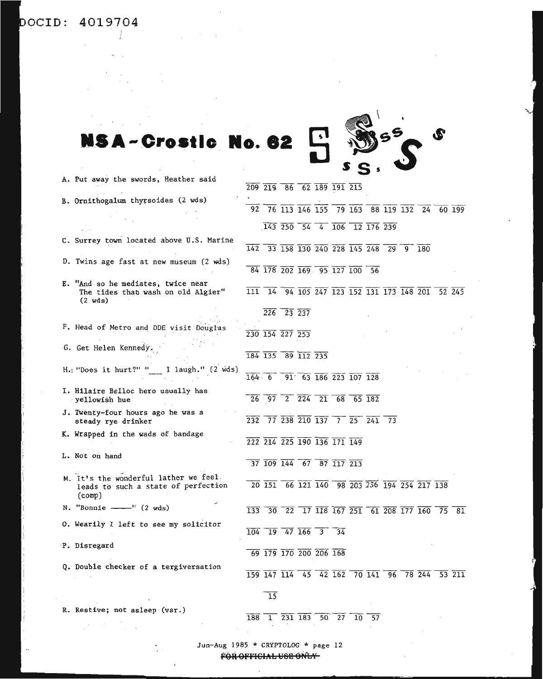aCID: **4019704**

 $\bar{z}$ 



|                                                                                               |            |                                                                                                  |                                                   |  | 209 219 86 62 189 191 215                                                                                                                                                 |  |  |                                                                                                                                                                                       |        |  |
|-----------------------------------------------------------------------------------------------|------------|--------------------------------------------------------------------------------------------------|---------------------------------------------------|--|---------------------------------------------------------------------------------------------------------------------------------------------------------------------------|--|--|---------------------------------------------------------------------------------------------------------------------------------------------------------------------------------------|--------|--|
| B. Ornithogalum thyrsoides (2 wds)                                                            |            |                                                                                                  |                                                   |  |                                                                                                                                                                           |  |  |                                                                                                                                                                                       |        |  |
|                                                                                               |            |                                                                                                  |                                                   |  |                                                                                                                                                                           |  |  | $\overline{92}$ 76 113 146 155 79 163 88 119 132 24 60 199                                                                                                                            |        |  |
|                                                                                               |            |                                                                                                  |                                                   |  |                                                                                                                                                                           |  |  |                                                                                                                                                                                       |        |  |
|                                                                                               |            |                                                                                                  |                                                   |  | $\overline{143}$ $\overline{250}$ $\overline{54}$ $\overline{4}$ $\overline{106}$ $\overline{12}$ $\overline{176}$ $\overline{239}$                                       |  |  |                                                                                                                                                                                       |        |  |
| C. Surrey town located above U.S. Marine                                                      |            |                                                                                                  |                                                   |  |                                                                                                                                                                           |  |  |                                                                                                                                                                                       |        |  |
|                                                                                               |            |                                                                                                  |                                                   |  | $\overline{142}$ 33 $\overline{158}$ $\overline{130}$ $\overline{240}$ $\overline{228}$ $\overline{145}$ $\overline{248}$ $\overline{29}$ $\overline{9}$ $\overline{180}$ |  |  |                                                                                                                                                                                       |        |  |
| D. Twins age fast at new museum (2 wds)                                                       |            |                                                                                                  |                                                   |  |                                                                                                                                                                           |  |  |                                                                                                                                                                                       |        |  |
|                                                                                               |            |                                                                                                  |                                                   |  | 84 178 202 169 95 127 100 56                                                                                                                                              |  |  |                                                                                                                                                                                       |        |  |
| E. "And so he mediates, twice near<br>The tides that wash on old Algier"<br>$(2 \text{ wds})$ |            |                                                                                                  |                                                   |  |                                                                                                                                                                           |  |  | 111 14 94 105 247 123 152 131 173 148 201                                                                                                                                             | 52 245 |  |
|                                                                                               |            |                                                                                                  | $\overline{226}$ $\overline{23}$ $\overline{237}$ |  |                                                                                                                                                                           |  |  |                                                                                                                                                                                       |        |  |
| F. Head of Metro and DDE visit Douglas                                                        |            |                                                                                                  |                                                   |  |                                                                                                                                                                           |  |  |                                                                                                                                                                                       |        |  |
|                                                                                               |            | $\overline{230}$ $\overline{154}$ $\overline{227}$ $\overline{253}$                              |                                                   |  |                                                                                                                                                                           |  |  |                                                                                                                                                                                       |        |  |
| G. Get Helen Kennedy.                                                                         |            |                                                                                                  |                                                   |  |                                                                                                                                                                           |  |  |                                                                                                                                                                                       |        |  |
|                                                                                               |            | 184 135 89 112 235                                                                               |                                                   |  |                                                                                                                                                                           |  |  |                                                                                                                                                                                       |        |  |
| $H_{\alpha}$ "Does it hurt?" "<br>I laugh." $(2 \text{ wds})$                                 | $-164 - 6$ |                                                                                                  |                                                   |  | $91\overline{63}$ $\overline{186}$ $\overline{223}$ $\overline{107}$ $\overline{128}$                                                                                     |  |  |                                                                                                                                                                                       |        |  |
| I. Hilaire Belloc hero usually has<br>yellowish hue                                           | 26         |                                                                                                  |                                                   |  | $\frac{1}{97}$ $\frac{2}{224}$ $\frac{21}{21}$ 68 65 182                                                                                                                  |  |  |                                                                                                                                                                                       |        |  |
| J. Twenty-four hours ago he was a<br>steady rye drinker                                       | 232        |                                                                                                  |                                                   |  | 77 238 210 137 7 25 241 73                                                                                                                                                |  |  |                                                                                                                                                                                       |        |  |
| K. Wrapped in the wads of bandage                                                             |            |                                                                                                  |                                                   |  |                                                                                                                                                                           |  |  |                                                                                                                                                                                       |        |  |
|                                                                                               |            |                                                                                                  |                                                   |  | 222 214 225 190 136 171 149                                                                                                                                               |  |  |                                                                                                                                                                                       |        |  |
| L. Not on hand                                                                                |            |                                                                                                  |                                                   |  |                                                                                                                                                                           |  |  |                                                                                                                                                                                       |        |  |
|                                                                                               |            |                                                                                                  |                                                   |  | $\overline{37}$ $\overline{109}$ $\overline{144}$ $\overline{67}$ $\overline{87}$ $\overline{117}$ $\overline{213}$                                                       |  |  |                                                                                                                                                                                       |        |  |
| M. It's the wonderful lather we feel.                                                         |            |                                                                                                  |                                                   |  |                                                                                                                                                                           |  |  |                                                                                                                                                                                       |        |  |
| leads to such a state of perfection                                                           |            |                                                                                                  |                                                   |  |                                                                                                                                                                           |  |  | 20 151 66 121 140 98 203 236 194 254 217 138                                                                                                                                          |        |  |
| $\text{(comp)}$                                                                               |            |                                                                                                  |                                                   |  |                                                                                                                                                                           |  |  |                                                                                                                                                                                       |        |  |
| N. "Bonnie ---" $(2 \text{ wds})$                                                             | 133        | 30                                                                                               |                                                   |  |                                                                                                                                                                           |  |  | $\overline{22}$ $\overline{17}$ $\overline{118}$ $\overline{167}$ $\overline{251}$ $\overline{61}$ $\overline{208}$ $\overline{177}$ $\overline{160}$ $\overline{75}$ $\overline{81}$ |        |  |
| O. Wearily I left to see my solicitor                                                         |            | $\overline{104}$ $\overline{19}$ $\overline{47}$ $\overline{166}$ $\overline{3}$ $\overline{34}$ |                                                   |  |                                                                                                                                                                           |  |  |                                                                                                                                                                                       |        |  |
|                                                                                               |            |                                                                                                  |                                                   |  |                                                                                                                                                                           |  |  |                                                                                                                                                                                       |        |  |
| P. Disregard                                                                                  |            | 69 179 170 200 206 168                                                                           |                                                   |  |                                                                                                                                                                           |  |  |                                                                                                                                                                                       |        |  |
| Q. Double checker of a tergiversation                                                         |            |                                                                                                  |                                                   |  |                                                                                                                                                                           |  |  |                                                                                                                                                                                       |        |  |
|                                                                                               |            |                                                                                                  |                                                   |  | 159 147 114 45 42 162 70 141 96 78 244                                                                                                                                    |  |  |                                                                                                                                                                                       | 53 211 |  |
|                                                                                               |            |                                                                                                  |                                                   |  |                                                                                                                                                                           |  |  |                                                                                                                                                                                       |        |  |
|                                                                                               |            | $\overline{15}$                                                                                  |                                                   |  |                                                                                                                                                                           |  |  |                                                                                                                                                                                       |        |  |
| R. Restive; not asleep (var.)                                                                 |            |                                                                                                  |                                                   |  |                                                                                                                                                                           |  |  |                                                                                                                                                                                       |        |  |

 $\overline{188}$   $\overline{1}$   $\overline{231}$   $\overline{183}$   $\overline{50}$   $\overline{27}$   $\overline{10}$   $\overline{57}$ 

Jun-Aug 1985 \* CRYPTOLOG \* page <sup>12</sup>

 $\mathcal{L}^{\text{max}}_{\text{max}}$ 

**FeR 9FFlGh\b l:JSE aNbY'**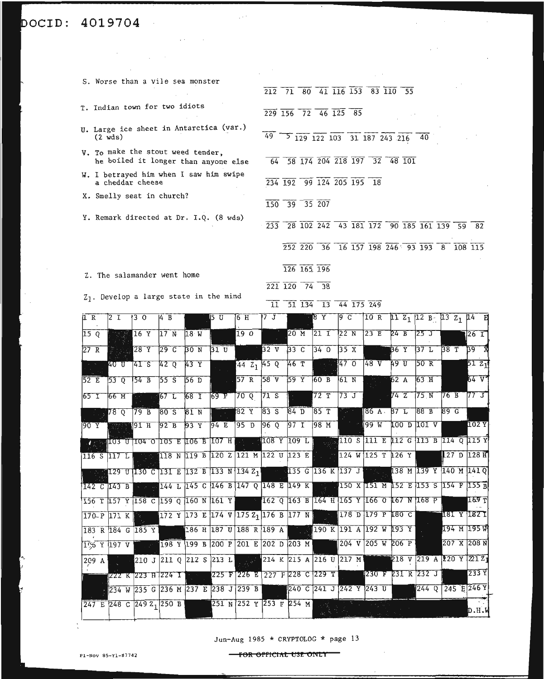# **4019704**  $\label{eq:2.1} \mathcal{L}_{\mathcal{A}}(\mathcal{A}) = \mathcal{L}_{\mathcal{A}}(\mathcal{A}) = \mathcal{L}_{\mathcal{A}}(\mathcal{A}) = \mathcal{L}_{\mathcal{A}}(\mathcal{A})$

 $\label{eq:2.1} \frac{1}{\sqrt{2}}\sum_{i=1}^n\frac{1}{\sqrt{2}}\sum_{i=1}^n\frac{1}{\sqrt{2}}\sum_{i=1}^n\frac{1}{\sqrt{2}}\sum_{i=1}^n\frac{1}{\sqrt{2}}\sum_{i=1}^n\frac{1}{\sqrt{2}}\sum_{i=1}^n\frac{1}{\sqrt{2}}\sum_{i=1}^n\frac{1}{\sqrt{2}}\sum_{i=1}^n\frac{1}{\sqrt{2}}\sum_{i=1}^n\frac{1}{\sqrt{2}}\sum_{i=1}^n\frac{1}{\sqrt{2}}\sum_{i=1}^n\frac$ 

| S. Worse than a vile sea monster                                          | 212 71 80 41 116 153 |         |                 |                           |            | 83 110                                  | - 55 |  |     |
|---------------------------------------------------------------------------|----------------------|---------|-----------------|---------------------------|------------|-----------------------------------------|------|--|-----|
| T. Indian town for two idiots                                             | 229 156 72 46 125 85 |         |                 |                           |            |                                         |      |  |     |
| U. Large ice sheet in Antarctica (var.)<br>$(2 \text{ wds})$              | $49 -$               |         |                 |                           |            | 5 129 122 103 31 187 243 216 40         |      |  |     |
| V. To make the stout weed tender,<br>he boiled it longer than anyone else | 64                   |         |                 |                           |            | 58 174 204 218 197 32 48 101            |      |  |     |
| W. I betrayed him when I saw him swipe<br>a cheddar cheese                |                      |         |                 | 234 192 99 124 205 195 18 |            |                                         |      |  |     |
| X. Smelly seat in church?                                                 | 150                  |         | $39$ $35$ $207$ |                           |            |                                         |      |  |     |
| Y. Remark directed at Dr. I.Q. (8 wds)                                    | 233                  |         |                 |                           |            | 28 102 242 43 181 172 90 185 161 139 59 |      |  | -82 |
|                                                                           |                      |         | 252 220         |                           |            | 36 16 157 198 246 93 193 8 108 115      |      |  |     |
| Z. The salamander went home                                               |                      |         | 126 165 196     |                           |            |                                         |      |  |     |
|                                                                           |                      | 221 120 | 74              | 38                        |            |                                         |      |  |     |
| $Z_1$ . Develop a large state in the mind                                 | 11                   |         | 51 134          | 13                        | 44 175 249 |                                         |      |  |     |

 $\mathcal{L}_{\text{max}}$  , and  $\mathcal{L}_{\text{max}}$ 

 $\sim 10^{11}$ 

 $\sim$ 

 $\sim 10^6$ 

| 1 R        | $\sqrt{2}$ I                                                                                                                                                         | 130                                                                                                        | $\overline{4}$ $\overline{8}$ $\overline{1}$ $\overline{1}$ $\overline{5}$ $\overline{0}$ |  |                 |                         |                | $6H$ 7 J 8 Y 9 C 10 R 11 Z <sub>1</sub> 12 B 13 Z <sub>1</sub> 14 E       |  |                              |             |
|------------|----------------------------------------------------------------------------------------------------------------------------------------------------------------------|------------------------------------------------------------------------------------------------------------|-------------------------------------------------------------------------------------------|--|-----------------|-------------------------|----------------|---------------------------------------------------------------------------|--|------------------------------|-------------|
| 15Q        |                                                                                                                                                                      | $16 \text{ Y}$ $17 \text{ N}$ $18 \text{ W}$                                                               |                                                                                           |  | 190             |                         | 20 M 21 I 22 N | $23 E$ 24 B 25 J                                                          |  |                              | $126$ T     |
|            |                                                                                                                                                                      | $27 R$ 28 Y 29 C                                                                                           |                                                                                           |  |                 |                         |                | BON 31U 32V 33C 340 35X 36Y 37L 38T                                       |  |                              | <b>B9 X</b> |
|            |                                                                                                                                                                      | 40 0 41 S                                                                                                  |                                                                                           |  |                 |                         |                | 42 Q 43 Y 44 Z 45 Q 46 T 46 47 O 48 V 49 U 50 R                           |  |                              | 5121        |
| $52E$ 53 0 |                                                                                                                                                                      | 54B                                                                                                        |                                                                                           |  |                 |                         |                | 55 S 56 D 36 57 R 58 V 59 Y 60 B 61 N 36 X 52 A 63 H                      |  |                              | 64 V        |
|            |                                                                                                                                                                      | 65 I 66 M 36 67 L 68 I 69 P 70 Q 71 S 1                                                                    |                                                                                           |  |                 |                         |                | 72 T 73 J 74 Z 75 N 76 B 77 J                                             |  |                              |             |
|            | $\blacksquare$ $\blacksquare$ $\blacksquare$ $\blacksquare$ $\blacksquare$ $\blacksquare$ $\blacksquare$ $\blacksquare$ $\blacksquare$ $\blacksquare$ $\blacksquare$ |                                                                                                            |                                                                                           |  |                 |                         |                | 79 B 80 S 81 N 32 Y 83 S 84 D 85 T 88 A 87 L 88 B 89 G                    |  |                              |             |
|            |                                                                                                                                                                      | 90 Y 1888 91 H 92 B 93 Y                                                                                   |                                                                                           |  | $94E$ 95 D 96 Q |                         | $97$ I 98 M    | 102Y                                                                      |  |                              |             |
|            |                                                                                                                                                                      | в хра <mark>ноз о 104 о 105 в 106 в 107 н г. в 108 х 109 г. г. жита з 111 в 112 с 113 в 114 о 115 х</mark> |                                                                                           |  |                 |                         |                |                                                                           |  |                              |             |
|            |                                                                                                                                                                      | 116 S 117 L . 118 N 119 B 120 Z 121 M 122 U 123 E 124 W 125 T 126 Y                                        |                                                                                           |  |                 |                         |                |                                                                           |  | $\sqrt{27}$ D $\sqrt{128}$ H |             |
|            |                                                                                                                                                                      | $\sim$ 129 U 130 C 131 E 132 B 133 N 134 Z 1 $\sim$ 135 G 136 K 137 J $\sim$ 138 M 139 Y 140 M 141 Q       |                                                                                           |  |                 |                         |                |                                                                           |  |                              |             |
|            |                                                                                                                                                                      | 142 C 143 B            144 L 145 C 146 B 147 Q 148 E 149 K            150 X 151 M 152 E 153 S 154 F 155 B  |                                                                                           |  |                 |                         |                |                                                                           |  |                              |             |
|            |                                                                                                                                                                      | 156 T 157 Y 158 C 159 Q 160 N 161 Y 162 Q 163 B 164 H 165 Y 166 O 167 N 168 P 169 T                        |                                                                                           |  |                 |                         |                |                                                                           |  |                              |             |
|            |                                                                                                                                                                      | $170-P$ 171 K $\approx$ 172 Y 173 E 174 V 175 Z <sub>1</sub> 176 B 177 N 178 D 179 P 180 C 181 Y 182 I     |                                                                                           |  |                 |                         |                |                                                                           |  |                              |             |
|            |                                                                                                                                                                      | 183 R 184 G 185 Y 188 H 187 U 188 R 189 A 190 K 191 A 192 W 193 Y 194 M 195 W                              |                                                                                           |  |                 |                         |                |                                                                           |  |                              |             |
|            |                                                                                                                                                                      | 10% Y 197 V 198 Y 199 B 200 P 201 E 202 D 203 M 204 V 205 W 206 P 207 X 208 N                              |                                                                                           |  |                 |                         |                |                                                                           |  |                              |             |
| 209 A      |                                                                                                                                                                      |                                                                                                            |                                                                                           |  |                 |                         |                | 210 J 211 Q 212 S 213 L 3 3 214 K 215 A 216 U 217 M 218 V 219 A 220 Y 212 |  |                              |             |
|            |                                                                                                                                                                      | 233 Y 223 H 224 T 1 225 F 226 E 227 F 228 C 229 T 229 F 230 F 231 R 232 J 233 Y                            |                                                                                           |  |                 |                         |                |                                                                           |  |                              |             |
|            |                                                                                                                                                                      | 234 W 235 G 236 M 237 E 238 J 239 B 240 C 241 J 242 Y 243 U 244 Q 245 E 246 Y                              |                                                                                           |  |                 |                         |                |                                                                           |  |                              |             |
|            |                                                                                                                                                                      | $247$ E 248 C 249 Z <sub>1</sub> 250 B                                                                     |                                                                                           |  |                 | 251 N 252 Y 253 F 254 M |                |                                                                           |  |                              | D.H.W       |

Jun-Aug <sup>1985</sup> \* CRYPTOLOG \* page <sup>13</sup>

 $\sim 10^{11}$  km

 $\overline{\phantom{a}}$  $\ddot{\cdot}$ 

 $f$  **for official use only**